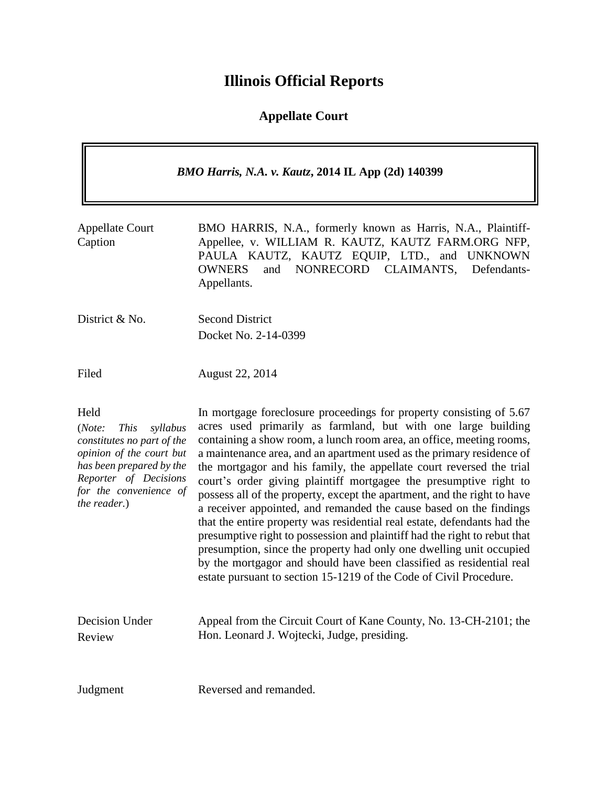# **Illinois Official Reports**

# **Appellate Court**

| <b>BMO Harris, N.A. v. Kautz, 2014 IL App (2d) 140399</b>                                                                                                                                          |                                                                                                                                                                                                                                                                                                                                                                                                                                                                                                                                                                                                                                                                                                                                                                                                                                                                                                                                                                    |
|----------------------------------------------------------------------------------------------------------------------------------------------------------------------------------------------------|--------------------------------------------------------------------------------------------------------------------------------------------------------------------------------------------------------------------------------------------------------------------------------------------------------------------------------------------------------------------------------------------------------------------------------------------------------------------------------------------------------------------------------------------------------------------------------------------------------------------------------------------------------------------------------------------------------------------------------------------------------------------------------------------------------------------------------------------------------------------------------------------------------------------------------------------------------------------|
| <b>Appellate Court</b><br>Caption                                                                                                                                                                  | BMO HARRIS, N.A., formerly known as Harris, N.A., Plaintiff-<br>Appellee, v. WILLIAM R. KAUTZ, KAUTZ FARM.ORG NFP,<br>PAULA KAUTZ, KAUTZ EQUIP, LTD., and UNKNOWN<br>and NONRECORD CLAIMANTS,<br><b>OWNERS</b><br>Defendants-<br>Appellants.                                                                                                                                                                                                                                                                                                                                                                                                                                                                                                                                                                                                                                                                                                                       |
| District & No.                                                                                                                                                                                     | <b>Second District</b><br>Docket No. 2-14-0399                                                                                                                                                                                                                                                                                                                                                                                                                                                                                                                                                                                                                                                                                                                                                                                                                                                                                                                     |
| Filed                                                                                                                                                                                              | August 22, 2014                                                                                                                                                                                                                                                                                                                                                                                                                                                                                                                                                                                                                                                                                                                                                                                                                                                                                                                                                    |
| Held<br>(Note:<br><b>This</b><br>syllabus<br>constitutes no part of the<br>opinion of the court but<br>has been prepared by the<br>Reporter of Decisions<br>for the convenience of<br>the reader.) | In mortgage foreclosure proceedings for property consisting of 5.67<br>acres used primarily as farmland, but with one large building<br>containing a show room, a lunch room area, an office, meeting rooms,<br>a maintenance area, and an apartment used as the primary residence of<br>the mortgagor and his family, the appellate court reversed the trial<br>court's order giving plaintiff mortgagee the presumptive right to<br>possess all of the property, except the apartment, and the right to have<br>a receiver appointed, and remanded the cause based on the findings<br>that the entire property was residential real estate, defendants had the<br>presumptive right to possession and plaintiff had the right to rebut that<br>presumption, since the property had only one dwelling unit occupied<br>by the mortgagor and should have been classified as residential real<br>estate pursuant to section 15-1219 of the Code of Civil Procedure. |
| Decision Under<br>Review                                                                                                                                                                           | Appeal from the Circuit Court of Kane County, No. 13-CH-2101; the<br>Hon. Leonard J. Wojtecki, Judge, presiding.                                                                                                                                                                                                                                                                                                                                                                                                                                                                                                                                                                                                                                                                                                                                                                                                                                                   |
| Judgment                                                                                                                                                                                           | Reversed and remanded.                                                                                                                                                                                                                                                                                                                                                                                                                                                                                                                                                                                                                                                                                                                                                                                                                                                                                                                                             |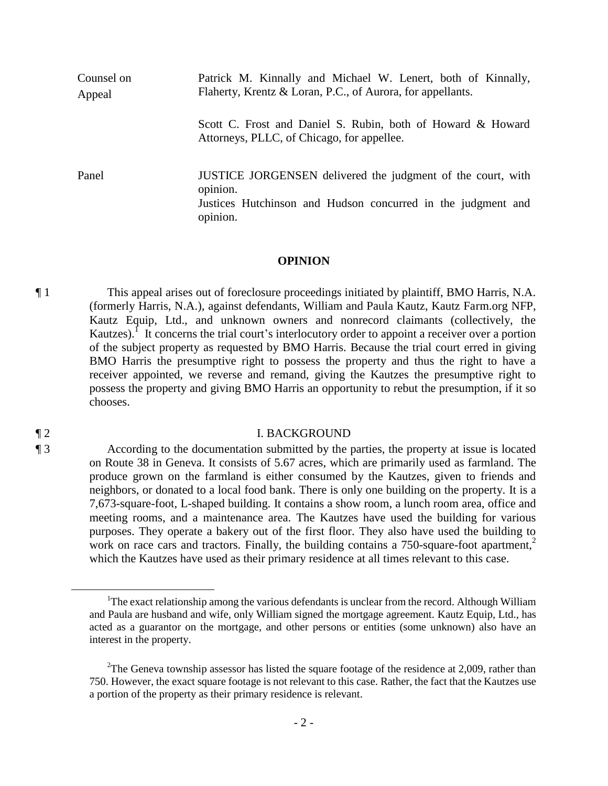| Counsel on<br>Appeal | Patrick M. Kinnally and Michael W. Lenert, both of Kinnally,<br>Flaherty, Krentz & Loran, P.C., of Aurora, for appellants.                          |
|----------------------|-----------------------------------------------------------------------------------------------------------------------------------------------------|
|                      | Scott C. Frost and Daniel S. Rubin, both of Howard & Howard<br>Attorneys, PLLC, of Chicago, for appellee.                                           |
| Panel                | JUSTICE JORGENSEN delivered the judgment of the court, with<br>opinion.<br>Justices Hutchinson and Hudson concurred in the judgment and<br>opinion. |

#### **OPINION**

¶ 1 This appeal arises out of foreclosure proceedings initiated by plaintiff, BMO Harris, N.A. (formerly Harris, N.A.), against defendants, William and Paula Kautz, Kautz Farm.org NFP, Kautz Equip, Ltd., and unknown owners and nonrecord claimants (collectively, the Kautzes). I It concerns the trial court's interlocutory order to appoint a receiver over a portion of the subject property as requested by BMO Harris. Because the trial court erred in giving BMO Harris the presumptive right to possess the property and thus the right to have a receiver appointed, we reverse and remand, giving the Kautzes the presumptive right to possess the property and giving BMO Harris an opportunity to rebut the presumption, if it so chooses.

#### ¶ 2 I. BACKGROUND

¶ 3 According to the documentation submitted by the parties, the property at issue is located on Route 38 in Geneva. It consists of 5.67 acres, which are primarily used as farmland. The produce grown on the farmland is either consumed by the Kautzes, given to friends and neighbors, or donated to a local food bank. There is only one building on the property. It is a 7,673-square-foot, L-shaped building. It contains a show room, a lunch room area, office and meeting rooms, and a maintenance area. The Kautzes have used the building for various purposes. They operate a bakery out of the first floor. They also have used the building to work on race cars and tractors. Finally, the building contains a 750-square-foot apartment, $2\pi$ which the Kautzes have used as their primary residence at all times relevant to this case.

 $\overline{a}$ 

<sup>&</sup>lt;sup>1</sup>The exact relationship among the various defendants is unclear from the record. Although William and Paula are husband and wife, only William signed the mortgage agreement. Kautz Equip, Ltd., has acted as a guarantor on the mortgage, and other persons or entities (some unknown) also have an interest in the property.

<sup>&</sup>lt;sup>2</sup>The Geneva township assessor has listed the square footage of the residence at 2,009, rather than 750. However, the exact square footage is not relevant to this case. Rather, the fact that the Kautzes use a portion of the property as their primary residence is relevant.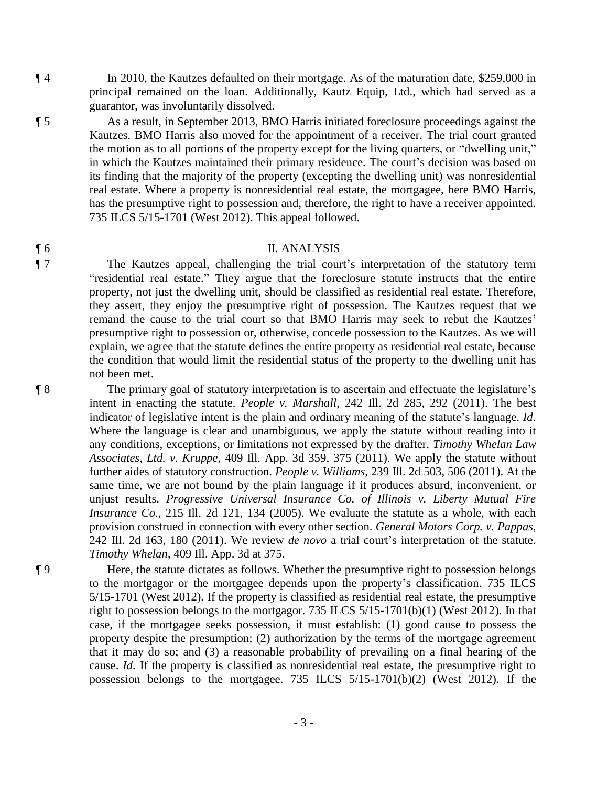¶ 4 In 2010, the Kautzes defaulted on their mortgage. As of the maturation date, \$259,000 in principal remained on the loan. Additionally, Kautz Equip, Ltd., which had served as a guarantor, was involuntarily dissolved.

¶ 5 As a result, in September 2013, BMO Harris initiated foreclosure proceedings against the Kautzes. BMO Harris also moved for the appointment of a receiver. The trial court granted the motion as to all portions of the property except for the living quarters, or "dwelling unit," in which the Kautzes maintained their primary residence. The court's decision was based on its finding that the majority of the property (excepting the dwelling unit) was nonresidential real estate. Where a property is nonresidential real estate, the mortgagee, here BMO Harris, has the presumptive right to possession and, therefore, the right to have a receiver appointed. 735 ILCS 5/15-1701 (West 2012). This appeal followed.

### ¶ 6 II. ANALYSIS

¶ 7 The Kautzes appeal, challenging the trial court's interpretation of the statutory term "residential real estate." They argue that the foreclosure statute instructs that the entire property, not just the dwelling unit, should be classified as residential real estate. Therefore, they assert, they enjoy the presumptive right of possession. The Kautzes request that we remand the cause to the trial court so that BMO Harris may seek to rebut the Kautzes' presumptive right to possession or, otherwise, concede possession to the Kautzes. As we will explain, we agree that the statute defines the entire property as residential real estate, because the condition that would limit the residential status of the property to the dwelling unit has not been met.

¶ 8 The primary goal of statutory interpretation is to ascertain and effectuate the legislature's intent in enacting the statute. *People v. Marshall*, 242 Ill. 2d 285, 292 (2011). The best indicator of legislative intent is the plain and ordinary meaning of the statute's language. *Id*. Where the language is clear and unambiguous, we apply the statute without reading into it any conditions, exceptions, or limitations not expressed by the drafter. *Timothy Whelan Law Associates, Ltd. v. Kruppe*, 409 Ill. App. 3d 359, 375 (2011). We apply the statute without further aides of statutory construction. *People v. Williams*, 239 Ill. 2d 503, 506 (2011). At the same time, we are not bound by the plain language if it produces absurd, inconvenient, or unjust results. *Progressive Universal Insurance Co. of Illinois v. Liberty Mutual Fire Insurance Co.*, 215 Ill. 2d 121, 134 (2005). We evaluate the statute as a whole, with each provision construed in connection with every other section. *General Motors Corp. v. Pappas*, 242 Ill. 2d 163, 180 (2011). We review *de novo* a trial court's interpretation of the statute. *Timothy Whelan*, 409 Ill. App. 3d at 375.

¶ 9 Here, the statute dictates as follows. Whether the presumptive right to possession belongs to the mortgagor or the mortgagee depends upon the property's classification. 735 ILCS 5/15-1701 (West 2012). If the property is classified as residential real estate, the presumptive right to possession belongs to the mortgagor. 735 ILCS 5/15-1701(b)(1) (West 2012). In that case, if the mortgagee seeks possession, it must establish: (1) good cause to possess the property despite the presumption; (2) authorization by the terms of the mortgage agreement that it may do so; and (3) a reasonable probability of prevailing on a final hearing of the cause. *Id*. If the property is classified as nonresidential real estate, the presumptive right to possession belongs to the mortgagee. 735 ILCS 5/15-1701(b)(2) (West 2012). If the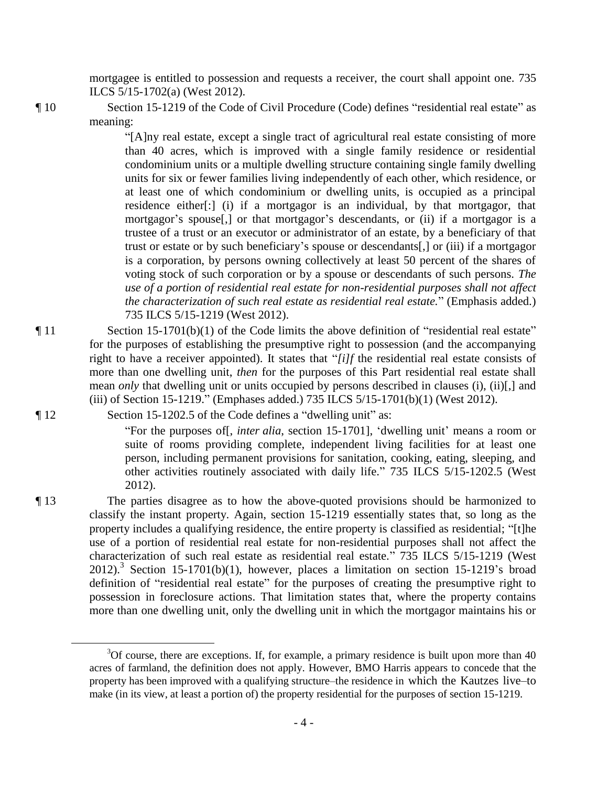mortgagee is entitled to possession and requests a receiver, the court shall appoint one. 735 ILCS 5/15-1702(a) (West 2012).

¶ 10 Section 15-1219 of the Code of Civil Procedure (Code) defines "residential real estate" as meaning:

> "[A]ny real estate, except a single tract of agricultural real estate consisting of more than 40 acres, which is improved with a single family residence or residential condominium units or a multiple dwelling structure containing single family dwelling units for six or fewer families living independently of each other, which residence, or at least one of which condominium or dwelling units, is occupied as a principal residence either[:] (i) if a mortgagor is an individual, by that mortgagor, that mortgagor's spouse[,] or that mortgagor's descendants, or (ii) if a mortgagor is a trustee of a trust or an executor or administrator of an estate, by a beneficiary of that trust or estate or by such beneficiary's spouse or descendants[,] or (iii) if a mortgagor is a corporation, by persons owning collectively at least 50 percent of the shares of voting stock of such corporation or by a spouse or descendants of such persons. *The use of a portion of residential real estate for non-residential purposes shall not affect the characterization of such real estate as residential real estate.*" (Emphasis added.) 735 ILCS 5/15-1219 (West 2012).

¶ 11 Section 15-1701(b)(1) of the Code limits the above definition of "residential real estate" for the purposes of establishing the presumptive right to possession (and the accompanying right to have a receiver appointed). It states that "*[i]f* the residential real estate consists of more than one dwelling unit, *then* for the purposes of this Part residential real estate shall mean *only* that dwelling unit or units occupied by persons described in clauses (i), (ii)[,] and (iii) of Section 15-1219." (Emphases added.) 735 ILCS 5/15-1701(b)(1) (West 2012).

¶ 12 Section 15-1202.5 of the Code defines a "dwelling unit" as:

"For the purposes of[, *inter alia*, section 15-1701], 'dwelling unit' means a room or suite of rooms providing complete, independent living facilities for at least one person, including permanent provisions for sanitation, cooking, eating, sleeping, and other activities routinely associated with daily life." 735 ILCS 5/15-1202.5 (West 2012).

¶ 13 The parties disagree as to how the above-quoted provisions should be harmonized to classify the instant property. Again, section 15-1219 essentially states that, so long as the property includes a qualifying residence, the entire property is classified as residential; "[t]he use of a portion of residential real estate for non-residential purposes shall not affect the characterization of such real estate as residential real estate." 735 ILCS 5/15-1219 (West 2012).<sup>3</sup> Section 15-1701(b)(1), however, places a limitation on section 15-1219's broad definition of "residential real estate" for the purposes of creating the presumptive right to possession in foreclosure actions. That limitation states that, where the property contains more than one dwelling unit, only the dwelling unit in which the mortgagor maintains his or

 $\overline{a}$ 

 $3$ Of course, there are exceptions. If, for example, a primary residence is built upon more than 40 acres of farmland, the definition does not apply. However, BMO Harris appears to concede that the property has been improved with a qualifying structure–the residence in which the Kautzes live–to make (in its view, at least a portion of) the property residential for the purposes of section 15-1219.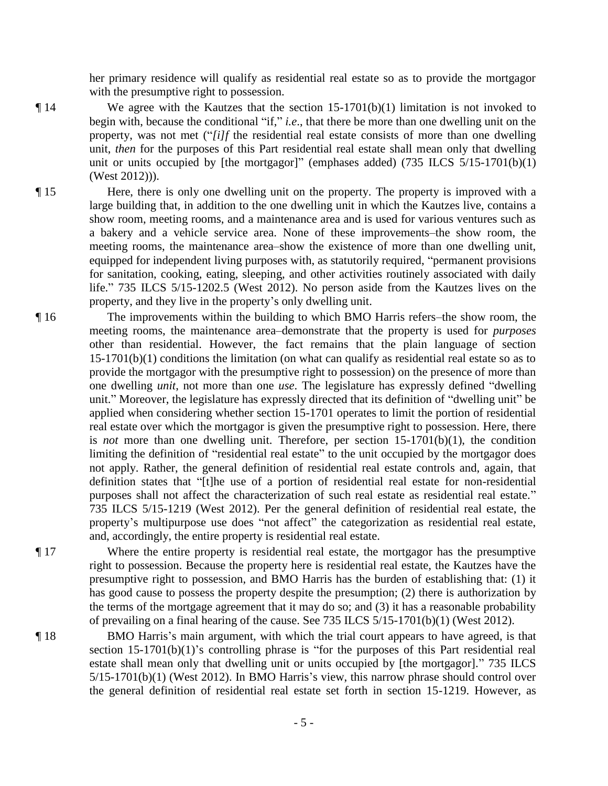her primary residence will qualify as residential real estate so as to provide the mortgagor with the presumptive right to possession.

- ¶ 14 We agree with the Kautzes that the section 15-1701(b)(1) limitation is not invoked to begin with, because the conditional "if," *i.e*., that there be more than one dwelling unit on the property, was not met ("*[i]f* the residential real estate consists of more than one dwelling unit, *then* for the purposes of this Part residential real estate shall mean only that dwelling unit or units occupied by [the mortgagor]" (emphases added) (735 ILCS 5/15-1701(b)(1) (West 2012))).
- ¶ 15 Here, there is only one dwelling unit on the property. The property is improved with a large building that, in addition to the one dwelling unit in which the Kautzes live, contains a show room, meeting rooms, and a maintenance area and is used for various ventures such as a bakery and a vehicle service area. None of these improvements–the show room, the meeting rooms, the maintenance area–show the existence of more than one dwelling unit, equipped for independent living purposes with, as statutorily required, "permanent provisions for sanitation, cooking, eating, sleeping, and other activities routinely associated with daily life." 735 ILCS 5/15-1202.5 (West 2012). No person aside from the Kautzes lives on the property, and they live in the property's only dwelling unit.
- ¶ 16 The improvements within the building to which BMO Harris refers–the show room, the meeting rooms, the maintenance area–demonstrate that the property is used for *purposes*  other than residential. However, the fact remains that the plain language of section 15-1701(b)(1) conditions the limitation (on what can qualify as residential real estate so as to provide the mortgagor with the presumptive right to possession) on the presence of more than one dwelling *unit*, not more than one *use*. The legislature has expressly defined "dwelling unit." Moreover, the legislature has expressly directed that its definition of "dwelling unit" be applied when considering whether section 15-1701 operates to limit the portion of residential real estate over which the mortgagor is given the presumptive right to possession. Here, there is *not* more than one dwelling unit. Therefore, per section 15-1701(b)(1), the condition limiting the definition of "residential real estate" to the unit occupied by the mortgagor does not apply. Rather, the general definition of residential real estate controls and, again, that definition states that "[t]he use of a portion of residential real estate for non-residential purposes shall not affect the characterization of such real estate as residential real estate." 735 ILCS 5/15-1219 (West 2012). Per the general definition of residential real estate, the property's multipurpose use does "not affect" the categorization as residential real estate, and, accordingly, the entire property is residential real estate.
- 

¶ 17 Where the entire property is residential real estate, the mortgagor has the presumptive right to possession. Because the property here is residential real estate, the Kautzes have the presumptive right to possession, and BMO Harris has the burden of establishing that: (1) it has good cause to possess the property despite the presumption; (2) there is authorization by the terms of the mortgage agreement that it may do so; and (3) it has a reasonable probability of prevailing on a final hearing of the cause. See 735 ILCS 5/15-1701(b)(1) (West 2012).

¶ 18 BMO Harris's main argument, with which the trial court appears to have agreed, is that section 15-1701(b)(1)'s controlling phrase is "for the purposes of this Part residential real estate shall mean only that dwelling unit or units occupied by [the mortgagor]." 735 ILCS 5/15-1701(b)(1) (West 2012). In BMO Harris's view, this narrow phrase should control over the general definition of residential real estate set forth in section 15-1219. However, as

- 5 -